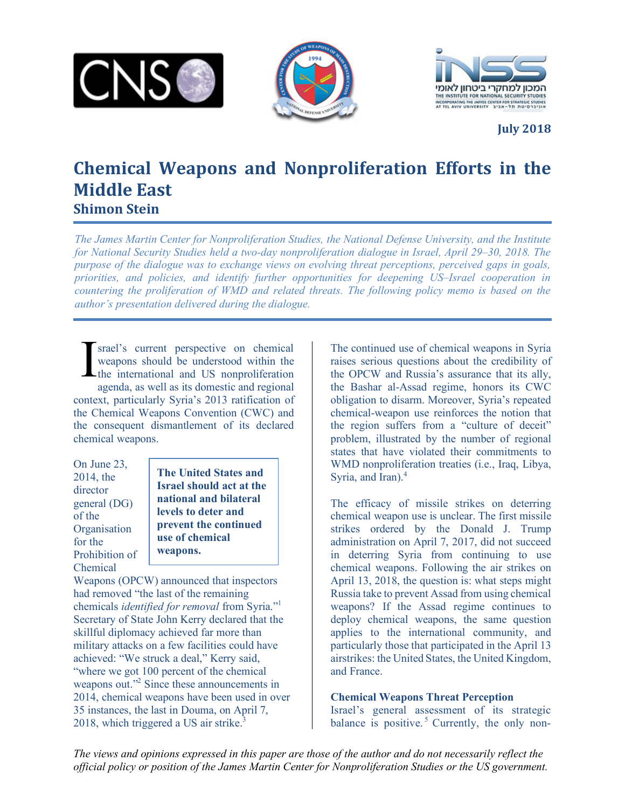





**July 2018**

## **Chemical Weapons and Nonproliferation Efforts in the Middle East Shimon Stein**

*The James Martin Center for Nonproliferation Studies, the National Defense University, and the Institute for National Security Studies held a two-day nonproliferation dialogue in Israel, April 29–30, 2018. The purpose of the dialogue was to exchange views on evolving threat perceptions, perceived gaps in goals, priorities, and policies, and identify further opportunities for deepening US–Israel cooperation in countering the proliferation of WMD and related threats. The following policy memo is based on the author's presentation delivered during the dialogue.*

srael's current perspective on chemical weapons should be understood within the the international and US nonproliferation agenda, as well as its domestic and regional context, particularly Syria's 2013 ratification of the Chemical Weapons Convention (CWC) and the consequent dismantlement of its declared chemical weapons. I

On June 23, 2014, the director general (DG) of the **Organisation** for the Prohibition of Chemical

**The United States and Israel should act at the national and bilateral levels to deter and prevent the continued use of chemical weapons.** 

Weapons (OPCW) announced that inspectors had removed "the last of the remaining chemicals *identified for removal* from Syria."1 Secretary of State John Kerry declared that the skillful diplomacy achieved far more than military attacks on a few facilities could have achieved: "We struck a deal," Kerry said, "where we got 100 percent of the chemical weapons out."<sup>2</sup> Since these announcements in 2014, chemical weapons have been used in over 35 instances, the last in Douma, on April 7, 2018, which triggered a US air strike. $3$ 

The continued use of chemical weapons in Syria raises serious questions about the credibility of the OPCW and Russia's assurance that its ally, the Bashar al-Assad regime, honors its CWC obligation to disarm. Moreover, Syria's repeated chemical-weapon use reinforces the notion that the region suffers from a "culture of deceit" problem, illustrated by the number of regional states that have violated their commitments to WMD nonproliferation treaties *(i.e., Iraq, Libya, V* Syria, and Iran).<sup>4</sup>

The efficacy of missile strikes on deterring chemical weapon use is unclear. The first missile strikes ordered by the Donald J. Trump administration on April 7, 2017, did not succeed in deterring Syria from continuing to use chemical weapons. Following the air strikes on April 13, 2018, the question is: what steps might Russia take to prevent Assad from using chemical weapons? If the Assad regime continues to deploy chemical weapons, the same question applies to the international community, and particularly those that participated in the April 13 airstrikes: the United States, the United Kingdom, and France.

## **Chemical Weapons Threat Perception**

Israel's general assessment of its strategic balance is positive.<sup>5</sup> Currently, the only non-

*The views and opinions expressed in this paper are those of the author and do not necessarily reflect the official policy or position of the James Martin Center for Nonproliferation Studies or the US government.*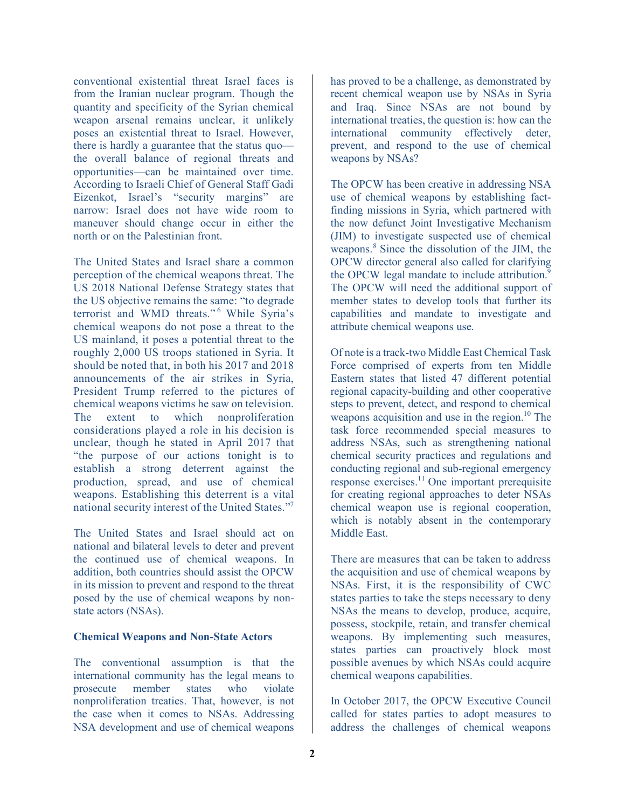conventional existential threat Israel faces is from the Iranian nuclear program. Though the quantity and specificity of the Syrian chemical weapon arsenal remains unclear, it unlikely poses an existential threat to Israel. However, there is hardly a guarantee that the status quo the overall balance of regional threats and opportunities—can be maintained over time. According to Israeli Chief of General Staff Gadi Eizenkot, Israel's "security margins" are narrow: Israel does not have wide room to maneuver should change occur in either the north or on the Palestinian front.

The United States and Israel share a common perception of the chemical weapons threat. The US 2018 National Defense Strategy states that the US objective remains the same: "to degrade terrorist and WMD threats."<sup>6</sup> While Syria's chemical weapons do not pose a threat to the US mainland, it poses a potential threat to the roughly 2,000 US troops stationed in Syria. It should be noted that, in both his 2017 and 2018 announcements of the air strikes in Syria, President Trump referred to the pictures of chemical weapons victims he saw on television. The extent to which nonproliferation considerations played a role in his decision is unclear, though he stated in April 2017 that "the purpose of our actions tonight is to establish a strong deterrent against the production, spread, and use of chemical weapons. Establishing this deterrent is a vital national security interest of the United States."7

The United States and Israel should act on national and bilateral levels to deter and prevent the continued use of chemical weapons. In addition, both countries should assist the OPCW in its mission to prevent and respond to the threat posed by the use of chemical weapons by nonstate actors (NSAs).

## **Chemical Weapons and Non-State Actors**

The conventional assumption is that the international community has the legal means to prosecute member states who violate nonproliferation treaties. That, however, is not the case when it comes to NSAs. Addressing NSA development and use of chemical weapons

has proved to be a challenge, as demonstrated by recent chemical weapon use by NSAs in Syria and Iraq. Since NSAs are not bound by international treaties, the question is: how can the international community effectively deter, prevent, and respond to the use of chemical weapons by NSAs?

The OPCW has been creative in addressing NSA use of chemical weapons by establishing factfinding missions in Syria, which partnered with the now defunct Joint Investigative Mechanism (JIM) to investigate suspected use of chemical weapons.<sup>8</sup> Since the dissolution of the JIM, the OPCW director general also called for clarifying the OPCW legal mandate to include attribution.<sup>9</sup> The OPCW will need the additional support of member states to develop tools that further its capabilities and mandate to investigate and attribute chemical weapons use.

Of note is a track-two Middle East Chemical Task Force comprised of experts from ten Middle Eastern states that listed 47 different potential regional capacity-building and other cooperative steps to prevent, detect, and respond to chemical weapons acquisition and use in the region.<sup>10</sup> The task force recommended special measures to address NSAs, such as strengthening national chemical security practices and regulations and conducting regional and sub-regional emergency response exercises.<sup>11</sup> One important prerequisite for creating regional approaches to deter NSAs chemical weapon use is regional cooperation, which is notably absent in the contemporary Middle East.

There are measures that can be taken to address the acquisition and use of chemical weapons by NSAs. First, it is the responsibility of CWC states parties to take the steps necessary to deny NSAs the means to develop, produce, acquire, possess, stockpile, retain, and transfer chemical weapons. By implementing such measures, states parties can proactively block most possible avenues by which NSAs could acquire chemical weapons capabilities.

In October 2017, the OPCW Executive Council called for states parties to adopt measures to address the challenges of chemical weapons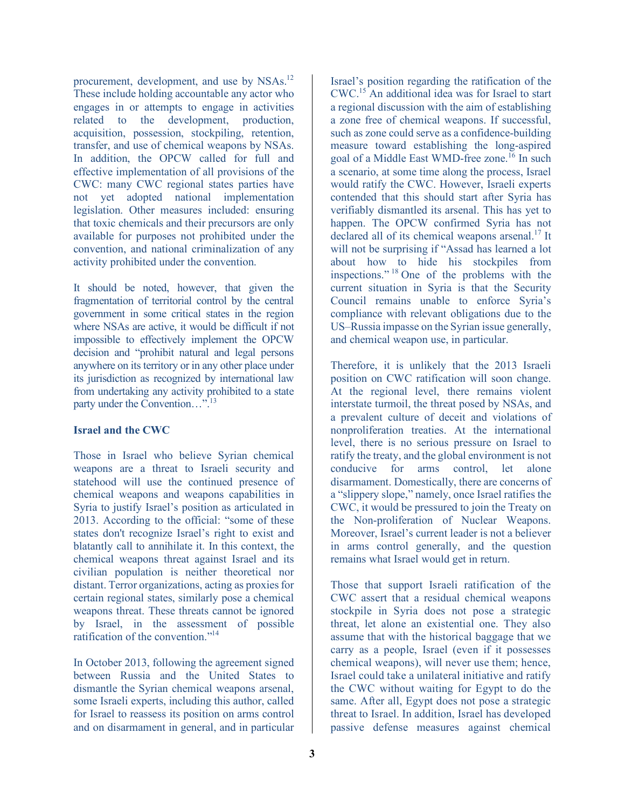procurement, development, and use by NSAs.<sup>12</sup> These include holding accountable any actor who engages in or attempts to engage in activities related to the development, production, acquisition, possession, stockpiling, retention, transfer, and use of chemical weapons by NSAs. In addition, the OPCW called for full and effective implementation of all provisions of the CWC: many CWC regional states parties have not yet adopted national implementation legislation. Other measures included: ensuring that toxic chemicals and their precursors are only available for purposes not prohibited under the convention, and national criminalization of any activity prohibited under the convention.

It should be noted, however, that given the fragmentation of territorial control by the central government in some critical states in the region where NSAs are active, it would be difficult if not impossible to effectively implement the OPCW decision and "prohibit natural and legal persons anywhere on its territory or in any other place under its jurisdiction as recognized by international law from undertaking any activity prohibited to a state party under the Convention…".<sup>13</sup>

## **Israel and the CWC**

Those in Israel who believe Syrian chemical weapons are a threat to Israeli security and statehood will use the continued presence of chemical weapons and weapons capabilities in Syria to justify Israel's position as articulated in 2013. According to the official: "some of these states don't recognize Israel's right to exist and blatantly call to annihilate it. In this context, the chemical weapons threat against Israel and its civilian population is neither theoretical nor distant. Terror organizations, acting as proxies for certain regional states, similarly pose a chemical weapons threat. These threats cannot be ignored by Israel, in the assessment of possible ratification of the convention."14

In October 2013, following the agreement signed between Russia and the United States to dismantle the Syrian chemical weapons arsenal, some Israeli experts, including this author, called for Israel to reassess its position on arms control and on disarmament in general, and in particular

Israel's position regarding the ratification of the CWC.15 An additional idea was for Israel to start a regional discussion with the aim of establishing a zone free of chemical weapons. If successful, such as zone could serve as a confidence-building measure toward establishing the long-aspired goal of a Middle East WMD-free zone. <sup>16</sup> In such a scenario, at some time along the process, Israel would ratify the CWC. However, Israeli experts contended that this should start after Syria has verifiably dismantled its arsenal. This has yet to happen. The OPCW confirmed Syria has not declared all of its chemical weapons arsenal.<sup>17</sup> It will not be surprising if "Assad has learned a lot about how to hide his stockpiles from inspections." <sup>18</sup> One of the problems with the current situation in Syria is that the Security Council remains unable to enforce Syria's compliance with relevant obligations due to the US–Russia impasse on the Syrian issue generally, and chemical weapon use, in particular.

Therefore, it is unlikely that the 2013 Israeli position on CWC ratification will soon change. At the regional level, there remains violent interstate turmoil, the threat posed by NSAs, and a prevalent culture of deceit and violations of nonproliferation treaties. At the international level, there is no serious pressure on Israel to ratify the treaty, and the global environment is not conducive for arms control, let alone disarmament. Domestically, there are concerns of a "slippery slope," namely, once Israel ratifies the CWC, it would be pressured to join the Treaty on the Non-proliferation of Nuclear Weapons. Moreover, Israel's current leader is not a believer in arms control generally, and the question remains what Israel would get in return.

Those that support Israeli ratification of the CWC assert that a residual chemical weapons stockpile in Syria does not pose a strategic threat, let alone an existential one. They also assume that with the historical baggage that we carry as a people, Israel (even if it possesses chemical weapons), will never use them; hence, Israel could take a unilateral initiative and ratify the CWC without waiting for Egypt to do the same. After all, Egypt does not pose a strategic threat to Israel. In addition, Israel has developed passive defense measures against chemical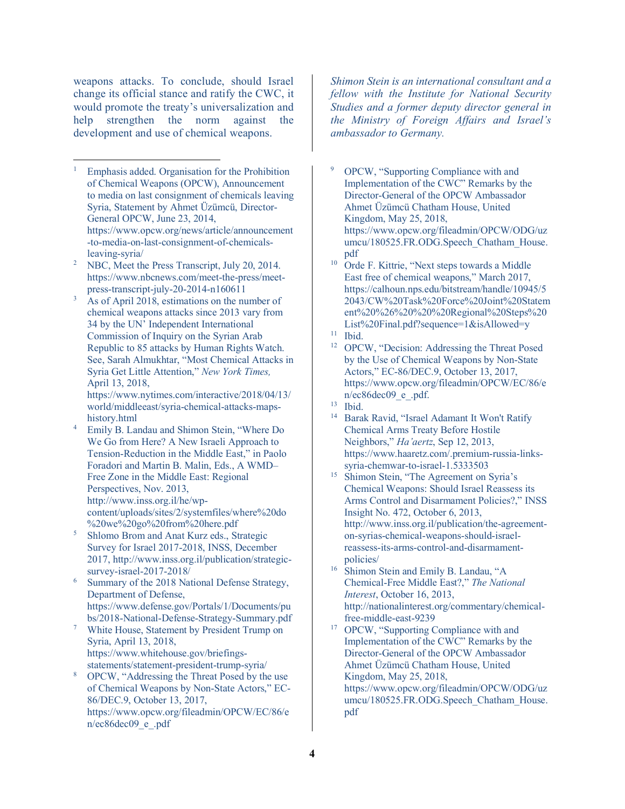weapons attacks. To conclude, should Israel change its official stance and ratify the CWC, it would promote the treaty's universalization and help strengthen the norm against the development and use of chemical weapons.

- 1 Emphasis added. Organisation for the Prohibition of Chemical Weapons (OPCW), Announcement to media on last consignment of chemicals leaving Syria, Statement by Ahmet Üzümcü, Director-General OPCW, June 23, 2014, https://www.opcw.org/news/article/announcement -to-media-on-last-consignment-of-chemicalsleaving-syria/  $\overline{a}$
- <sup>2</sup> NBC, Meet the Press Transcript, July 20, 2014. https://www.nbcnews.com/meet-the-press/meetpress-transcript-july-20-2014-n160611
- 3 As of April 2018, estimations on the number of chemical weapons attacks since 2013 vary from 34 by the UN' Independent International Commission of Inquiry on the Syrian Arab Republic to 85 attacks by Human Rights Watch. See, Sarah Almukhtar, "Most Chemical Attacks in Syria Get Little Attention," *New York Times,* April 13, 2018, https://www.nytimes.com/interactive/2018/04/13/

world/middleeast/syria-chemical-attacks-mapshistory.html

- <sup>4</sup> Emily B. Landau and Shimon Stein, "Where Do We Go from Here? A New Israeli Approach to Tension-Reduction in the Middle East," in Paolo Foradori and Martin B. Malin, Eds., A WMD– Free Zone in the Middle East: Regional Perspectives, Nov. 2013, http://www.inss.org.il/he/wpcontent/uploads/sites/2/systemfiles/where%20do
- %20we%20go%20from%20here.pdf<br>Shlomo Brom and Anat Kurz eds., Strategic Survey for Israel 2017-2018, INSS, December 2017, http://www.inss.org.il/publication/strategicsurvey-israel-2017-2018/
- Summary of the 2018 National Defense Strategy, Department of Defense, https://www.defense.gov/Portals/1/Documents/pu bs/2018-National-Defense-Strategy-Summary.pdf
- <sup>7</sup> White House, Statement by President Trump on Syria, April 13, 2018, https://www.whitehouse.gov/briefingsstatements/statement-president-trump-syria/
- <sup>8</sup> OPCW, "Addressing the Threat Posed by the use of Chemical Weapons by Non-State Actors," EC-86/DEC.9, October 13, 2017, https://www.opcw.org/fileadmin/OPCW/EC/86/e n/ec86dec09\_e\_.pdf

*Shimon Stein is an international consultant and a fellow with the Institute for National Security Studies and a former deputy director general in the Ministry of Foreign Affairs and Israel's ambassador to Germany.*

- <sup>9</sup> OPCW, "Supporting Compliance with and Implementation of the CWC" Remarks by the Director-General of the OPCW Ambassador Ahmet Üzümcü Chatham House, United Kingdom, May 25, 2018, https://www.opcw.org/fileadmin/OPCW/ODG/uz umcu/180525.FR.ODG.Speech\_Chatham\_House. pdf
- <sup>10</sup> Orde F. Kittrie, "Next steps towards a Middle East free of chemical weapons," March 2017, https://calhoun.nps.edu/bitstream/handle/10945/5 2043/CW%20Task%20Force%20Joint%20Statem ent%20%26%20%20%20Regional%20Steps%20 List%20Final.pdf?sequence=1&isAllowed=y
- <sup>11</sup> Ibid.
- <sup>12</sup> OPCW, "Decision: Addressing the Threat Posed by the Use of Chemical Weapons by Non-State Actors," EC-86/DEC.9, October 13, 2017, https://www.opcw.org/fileadmin/OPCW/EC/86/e n/ec86dec09\_e\_.pdf.
- <sup>13</sup> Ibid.
- <sup>14</sup> Barak Ravid, "Israel Adamant It Won't Ratify Chemical Arms Treaty Before Hostile Neighbors," *Ha'aertz*, Sep 12, 2013, https://www.haaretz.com/.premium-russia-linkssyria-chemwar-to-israel-1.5333503
- <sup>15</sup> Shimon Stein, "The Agreement on Syria's Chemical Weapons: Should Israel Reassess its Arms Control and Disarmament Policies?," INSS Insight No. 472, October 6, 2013, http://www.inss.org.il/publication/the-agreementon-syrias-chemical-weapons-should-israelreassess-its-arms-control-and-disarmamentpolicies/
- <sup>16</sup> Shimon Stein and Emily B. Landau, "A Chemical-Free Middle East?," *The National Interest*, October 16, 2013, http://nationalinterest.org/commentary/chemicalfree-middle-east-9239
- <sup>17</sup> OPCW, "Supporting Compliance with and Implementation of the CWC" Remarks by the Director-General of the OPCW Ambassador Ahmet Üzümcü Chatham House, United Kingdom, May 25, 2018,
	- https://www.opcw.org/fileadmin/OPCW/ODG/uz umcu/180525.FR.ODG.Speech\_Chatham\_House. pdf